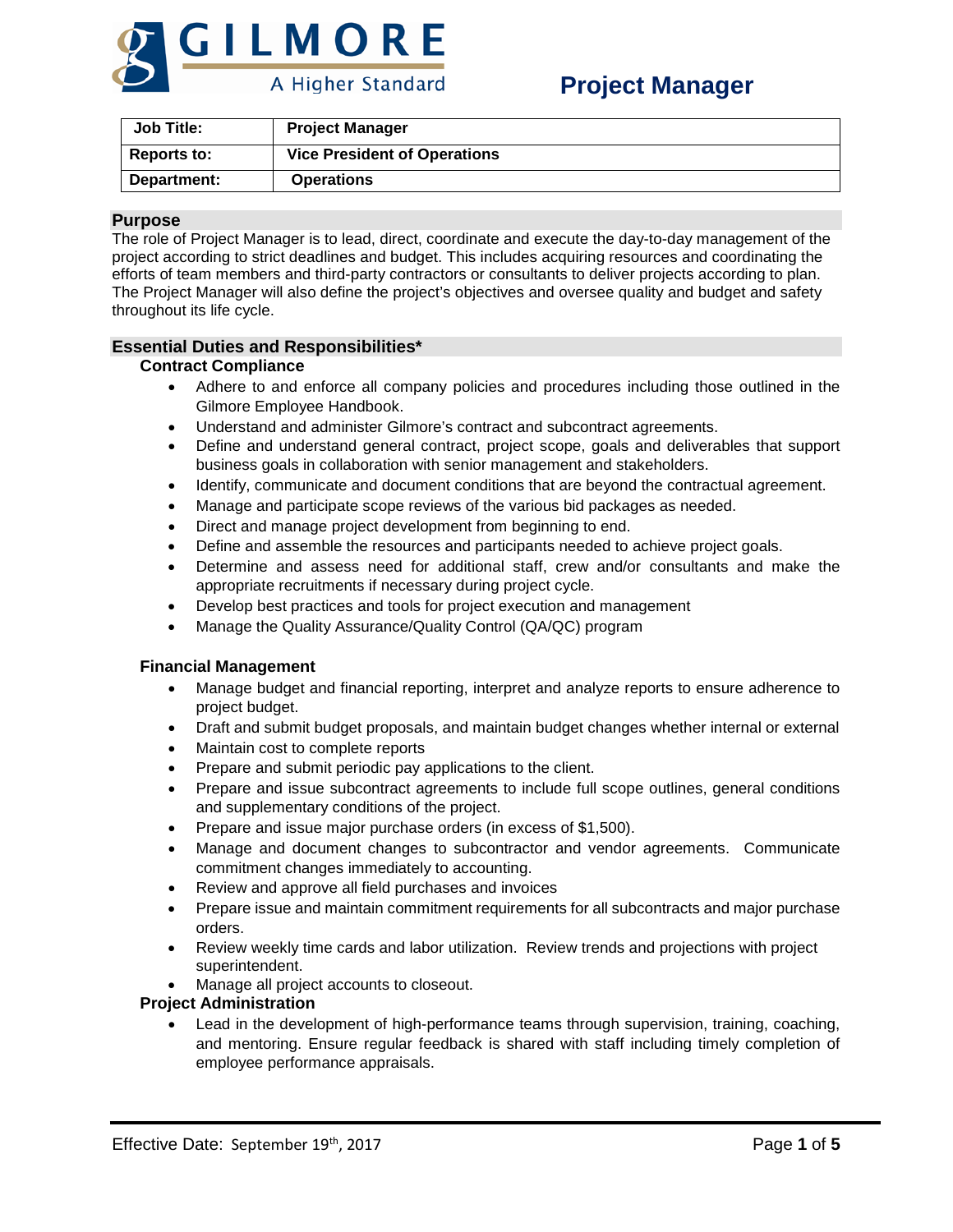

| Job Title:         | <b>Project Manager</b>              |
|--------------------|-------------------------------------|
| <b>Reports to:</b> | <b>Vice President of Operations</b> |
| Department:        | <b>Operations</b>                   |

## **Purpose**

The role of Project Manager is to lead, direct, coordinate and execute the day-to-day management of the project according to strict deadlines and budget. This includes acquiring resources and coordinating the efforts of team members and third-party contractors or consultants to deliver projects according to plan. The Project Manager will also define the project's objectives and oversee quality and budget and safety throughout its life cycle.

## **Essential Duties and Responsibilities\***

## **Contract Compliance**

- Adhere to and enforce all company policies and procedures including those outlined in the Gilmore Employee Handbook.
- Understand and administer Gilmore's contract and subcontract agreements.
- Define and understand general contract, project scope, goals and deliverables that support business goals in collaboration with senior management and stakeholders.
- Identify, communicate and document conditions that are beyond the contractual agreement.
- Manage and participate scope reviews of the various bid packages as needed.
- Direct and manage project development from beginning to end.
- Define and assemble the resources and participants needed to achieve project goals.
- Determine and assess need for additional staff, crew and/or consultants and make the appropriate recruitments if necessary during project cycle.
- Develop best practices and tools for project execution and management
- Manage the Quality Assurance/Quality Control (QA/QC) program

## **Financial Management**

- Manage budget and financial reporting, interpret and analyze reports to ensure adherence to project budget.
- Draft and submit budget proposals, and maintain budget changes whether internal or external
- Maintain cost to complete reports
- Prepare and submit periodic pay applications to the client.
- Prepare and issue subcontract agreements to include full scope outlines, general conditions and supplementary conditions of the project.
- Prepare and issue major purchase orders (in excess of \$1,500).
- Manage and document changes to subcontractor and vendor agreements. Communicate commitment changes immediately to accounting.
- Review and approve all field purchases and invoices
- Prepare issue and maintain commitment requirements for all subcontracts and major purchase orders.
- Review weekly time cards and labor utilization. Review trends and projections with project superintendent.
- Manage all project accounts to closeout.

## **Project Administration**

• Lead in the development of high-performance teams through supervision, training, coaching, and mentoring. Ensure regular feedback is shared with staff including timely completion of employee performance appraisals.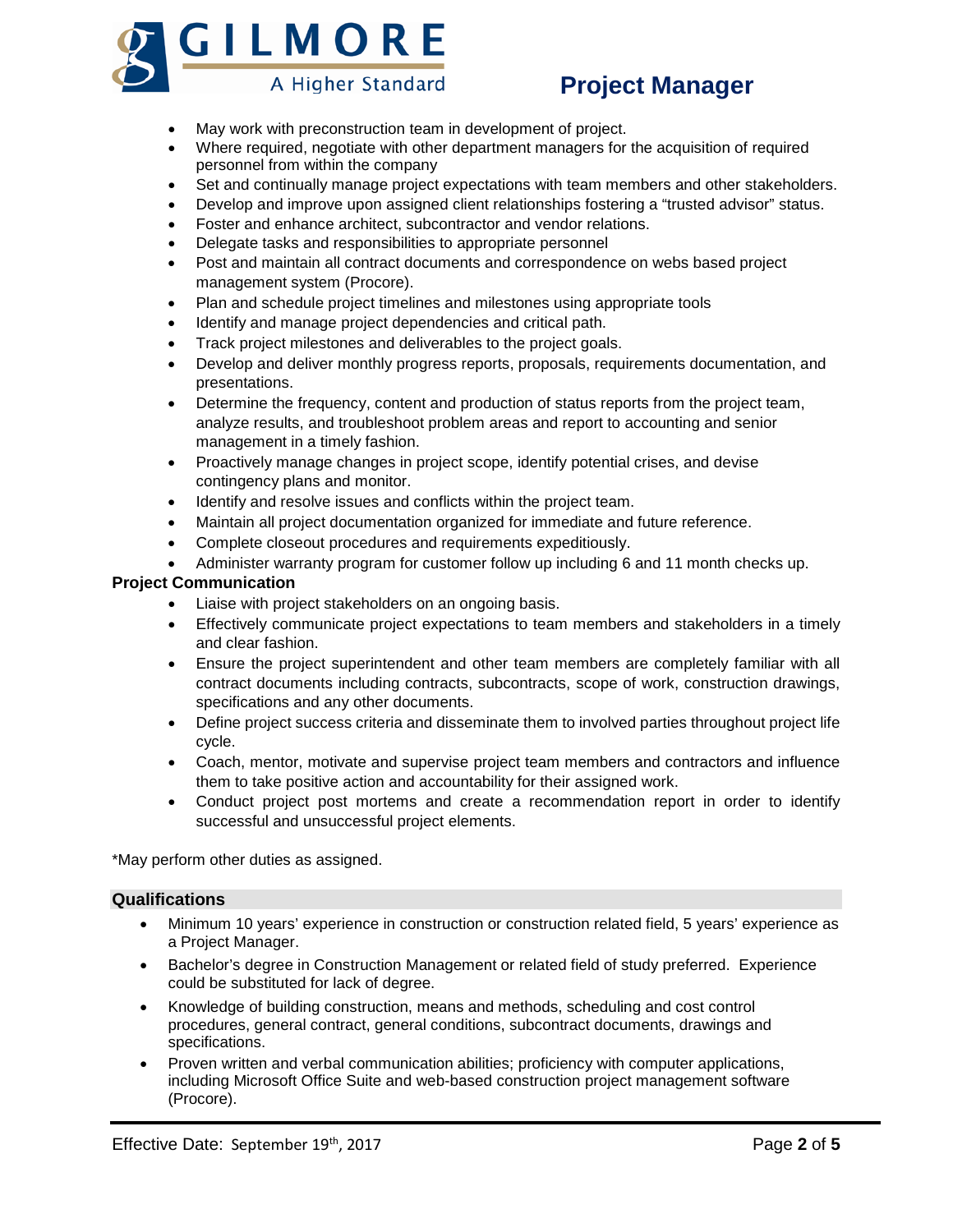

# **Project Manager**

- May work with preconstruction team in development of project.
- Where required, negotiate with other department managers for the acquisition of required personnel from within the company
- Set and continually manage project expectations with team members and other stakeholders.
- Develop and improve upon assigned client relationships fostering a "trusted advisor" status.
- Foster and enhance architect, subcontractor and vendor relations.
- Delegate tasks and responsibilities to appropriate personnel
- Post and maintain all contract documents and correspondence on webs based project management system (Procore).
- Plan and schedule project timelines and milestones using appropriate tools
- Identify and manage project dependencies and critical path.
- Track project milestones and deliverables to the project goals.
- Develop and deliver monthly progress reports, proposals, requirements documentation, and presentations.
- Determine the frequency, content and production of status reports from the project team, analyze results, and troubleshoot problem areas and report to accounting and senior management in a timely fashion.
- Proactively manage changes in project scope, identify potential crises, and devise contingency plans and monitor.
- Identify and resolve issues and conflicts within the project team.
- Maintain all project documentation organized for immediate and future reference.
- Complete closeout procedures and requirements expeditiously.
- Administer warranty program for customer follow up including 6 and 11 month checks up.

## **Project Communication**

- Liaise with project stakeholders on an ongoing basis.
- Effectively communicate project expectations to team members and stakeholders in a timely and clear fashion.
- Ensure the project superintendent and other team members are completely familiar with all contract documents including contracts, subcontracts, scope of work, construction drawings, specifications and any other documents.
- Define project success criteria and disseminate them to involved parties throughout project life cycle.
- Coach, mentor, motivate and supervise project team members and contractors and influence them to take positive action and accountability for their assigned work.
- Conduct project post mortems and create a recommendation report in order to identify successful and unsuccessful project elements.

\*May perform other duties as assigned.

## **Qualifications**

- Minimum 10 years' experience in construction or construction related field, 5 years' experience as a Project Manager.
- Bachelor's degree in Construction Management or related field of study preferred. Experience could be substituted for lack of degree.
- Knowledge of building construction, means and methods, scheduling and cost control procedures, general contract, general conditions, subcontract documents, drawings and specifications.
- Proven written and verbal communication abilities; proficiency with computer applications, including Microsoft Office Suite and web-based construction project management software (Procore).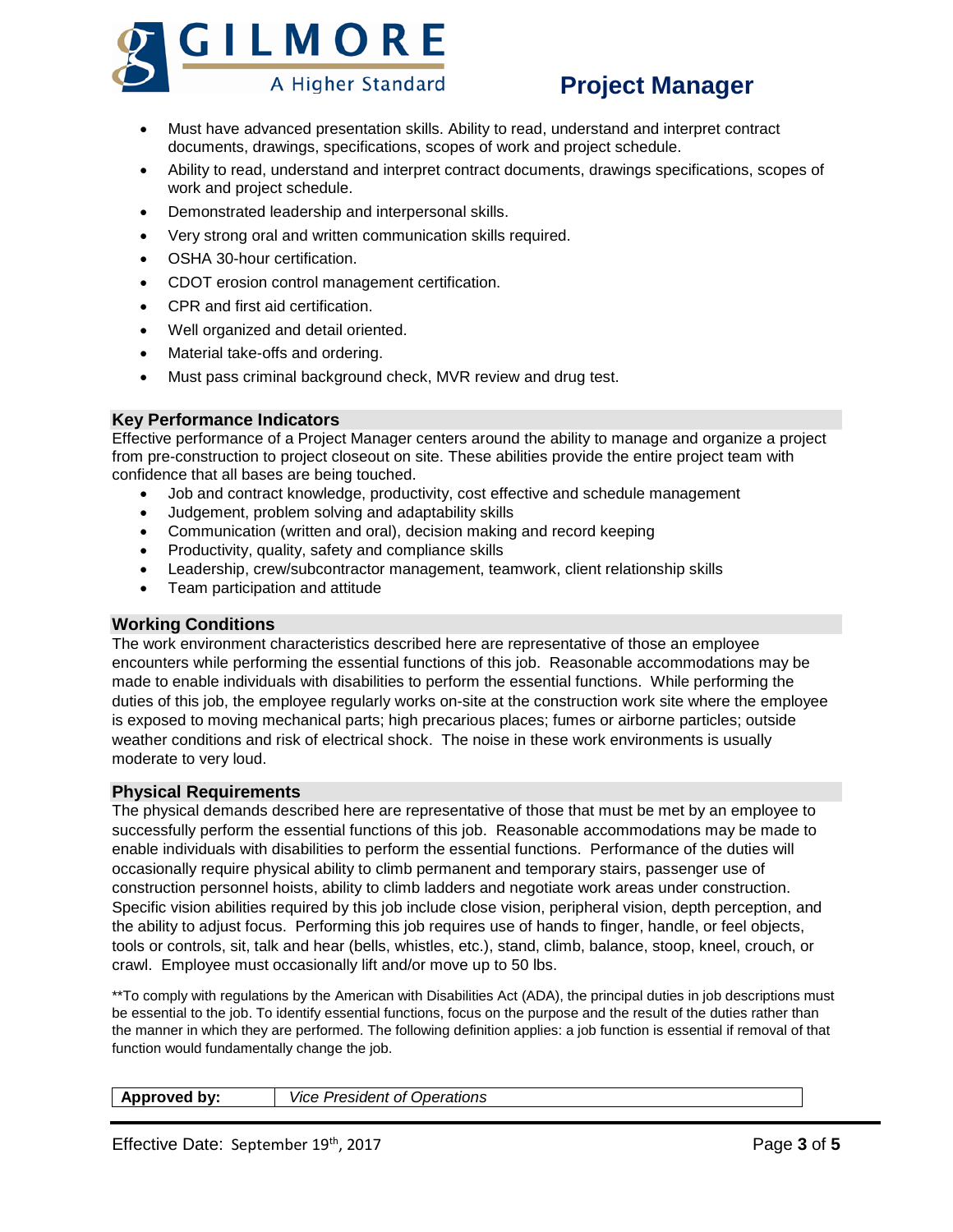

## **Project Manager**

- Must have advanced presentation skills. Ability to read, understand and interpret contract documents, drawings, specifications, scopes of work and project schedule.
- Ability to read, understand and interpret contract documents, drawings specifications, scopes of work and project schedule.
- Demonstrated leadership and interpersonal skills.
- Very strong oral and written communication skills required.
- OSHA 30-hour certification.
- CDOT erosion control management certification.
- CPR and first aid certification.
- Well organized and detail oriented.
- Material take-offs and ordering.
- Must pass criminal background check, MVR review and drug test.

## **Key Performance Indicators**

Effective performance of a Project Manager centers around the ability to manage and organize a project from pre-construction to project closeout on site. These abilities provide the entire project team with confidence that all bases are being touched.

- Job and contract knowledge, productivity, cost effective and schedule management
- Judgement, problem solving and adaptability skills
- Communication (written and oral), decision making and record keeping
- Productivity, quality, safety and compliance skills
- Leadership, crew/subcontractor management, teamwork, client relationship skills
- Team participation and attitude

## **Working Conditions**

The work environment characteristics described here are representative of those an employee encounters while performing the essential functions of this job. Reasonable accommodations may be made to enable individuals with disabilities to perform the essential functions. While performing the duties of this job, the employee regularly works on-site at the construction work site where the employee is exposed to moving mechanical parts; high precarious places; fumes or airborne particles; outside weather conditions and risk of electrical shock. The noise in these work environments is usually moderate to very loud.

## **Physical Requirements**

The physical demands described here are representative of those that must be met by an employee to successfully perform the essential functions of this job. Reasonable accommodations may be made to enable individuals with disabilities to perform the essential functions. Performance of the duties will occasionally require physical ability to climb permanent and temporary stairs, passenger use of construction personnel hoists, ability to climb ladders and negotiate work areas under construction. Specific vision abilities required by this job include close vision, peripheral vision, depth perception, and the ability to adjust focus. Performing this job requires use of hands to finger, handle, or feel objects, tools or controls, sit, talk and hear (bells, whistles, etc.), stand, climb, balance, stoop, kneel, crouch, or crawl. Employee must occasionally lift and/or move up to 50 lbs.

\*\*To comply with regulations by the American with Disabilities Act (ADA), the principal duties in job descriptions must be essential to the job. To identify essential functions, focus on the purpose and the result of the duties rather than the manner in which they are performed. The following definition applies: a job function is essential if removal of that function would fundamentally change the job.

| <i><b>Operations</b></i><br>oroved by:<br><i><u><u>Jrooidor</u></u></i><br><b>VICP</b><br>ΩT<br>. esimen |
|----------------------------------------------------------------------------------------------------------|
|----------------------------------------------------------------------------------------------------------|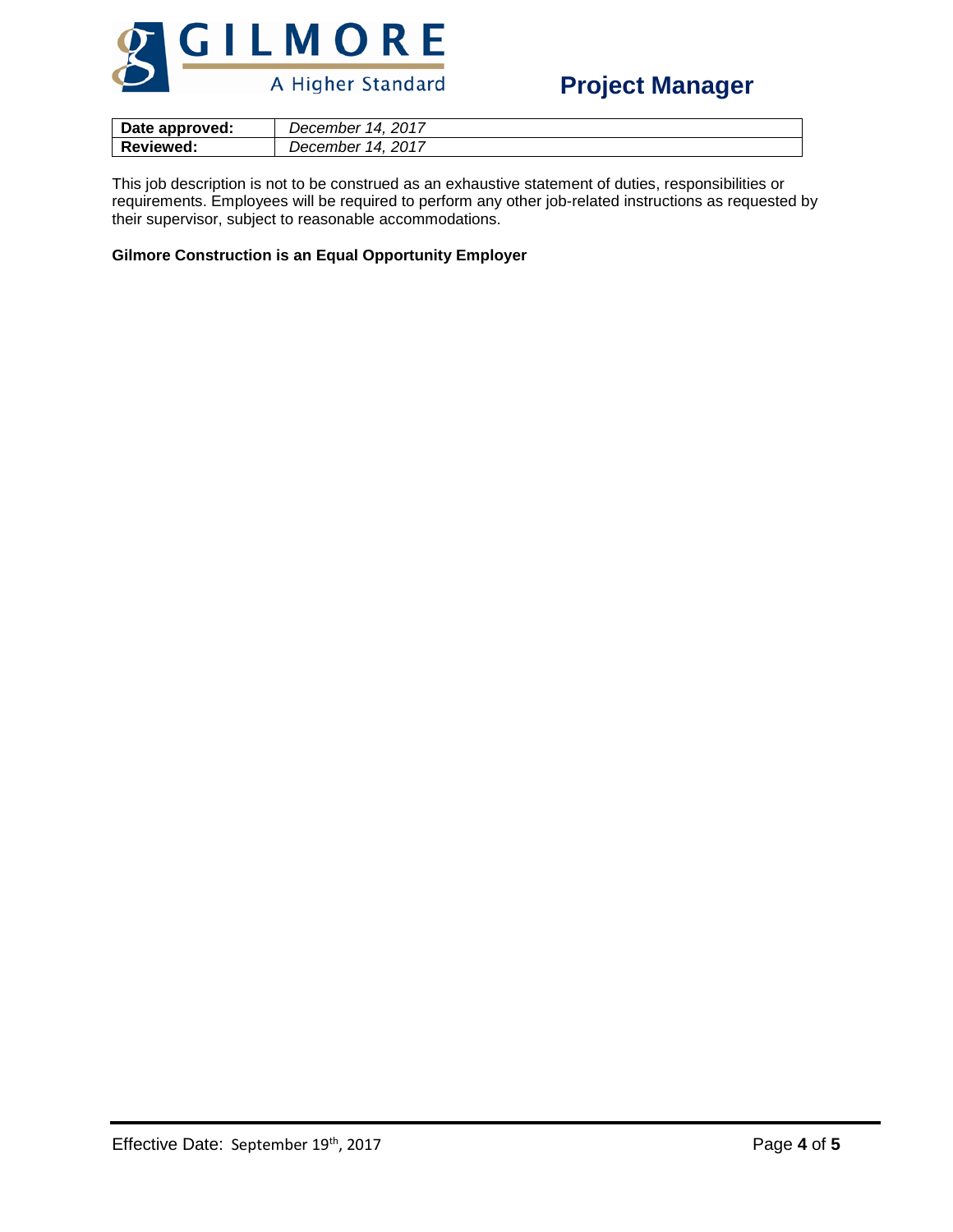

| Date approved:   | 2017<br>14.<br>December  |
|------------------|--------------------------|
| <b>Reviewed:</b> | . 2017<br>14<br>December |

This job description is not to be construed as an exhaustive statement of duties, responsibilities or requirements. Employees will be required to perform any other job-related instructions as requested by their supervisor, subject to reasonable accommodations.

## **Gilmore Construction is an Equal Opportunity Employer**